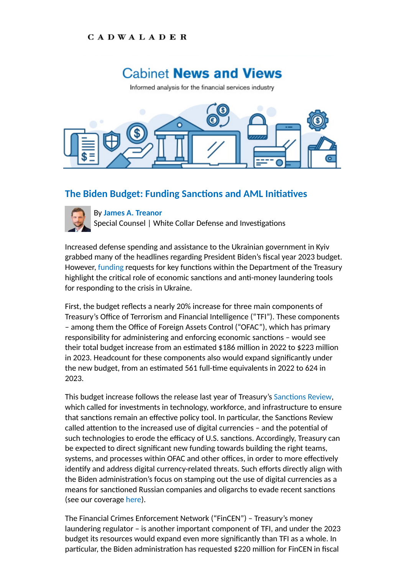## **CADWALADER**

## **Cabinet News and Views**

Informed analysis for the financial services industry



## **The Biden Budget: Funding Sanctions and AML Initiatives**



By **[James A. Treanor](https://www.cadwalader.com/professionals/james-treanor)**

Special Counsel | White Collar Defense and Investigations

Increased defense spending and assistance to the Ukrainian government in Kyiv grabbed many of the headlines regarding President Biden's fiscal year 2023 budget. However, [funding](https://www.whitehouse.gov/wp-content/uploads/2022/03/tre_fy2023.pdf) requests for key functions within the Department of the Treasury highlight the critical role of economic sanctions and anti-money laundering tools for responding to the crisis in Ukraine.

First, the budget reflects a nearly 20% increase for three main components of Treasury's Office of Terrorism and Financial Intelligence ("TFI"). These components – among them the Office of Foreign Assets Control ("OFAC"), which has primary responsibility for administering and enforcing economic sanctions - would see their total budget increase from an estimated \$186 million in 2022 to \$223 million in 2023. Headcount for these components also would expand significantly under the new budget, from an estimated 561 full-time equivalents in 2022 to 624 in 2023.

This budget increase follows the release last year of Treasury's Sanctions Review, which called for investments in technology, workforce, and infrastructure to ensure that sanctions remain an effective policy tool. In particular, the Sanctions Review called attention to the increased use of digital currencies – and the potential of such technologies to erode the efficacy of U.S. sanctions. Accordingly, Treasury can be expected to direct significant new funding towards building the right teams, systems, and processes within OFAC and other offices, in order to more effectively identify and address digital currency-related threats. Such efforts directly align with the Biden administration's focus on stamping out the use of digital currencies as a means for sanctioned Russian companies and oligarchs to evade recent sanctions (see our coverage [here\)](https://www.cadwalader.com/fin-news/index.php?nid=1&eid=3).

The Financial Crimes Enforcement Network ("FinCEN") – Treasury's money laundering regulator – is another important component of TFI, and under the 2023 budget its resources would expand even more significantly than TFI as a whole. In particular, the Biden administration has requested \$220 million for FinCEN in fiscal